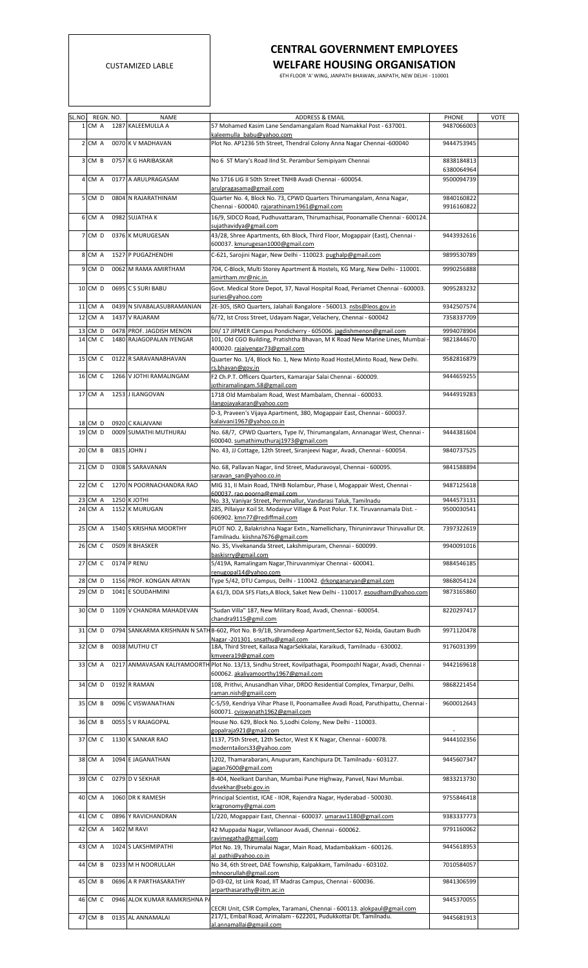## CUSTAMIZED LABLE

## **CENTRAL GOVERNMENT EMPLOYEES**

## **WELFARE HOUSING ORGANISATION** 6TH FLOOR 'A' WING, JANPATH BHAWAN, JANPATH, NEW DELHI - 110001

| SL.NO. |         |           |      | <b>NAME</b>                   | <b>ADDRESS &amp; EMAIL</b>                                                                                            | PHONE                    | <b>VOTE</b> |
|--------|---------|-----------|------|-------------------------------|-----------------------------------------------------------------------------------------------------------------------|--------------------------|-------------|
|        | 1 CM A  | REGN. NO. |      | 1287 KALEEMULLA A             | 57 Mohamed Kasim Lane Sendamangalam Road Namakkal Post - 637001.                                                      | 9487066003               |             |
|        |         |           |      |                               | kaleemulla babu@yahoo.com                                                                                             |                          |             |
|        | 2 CM A  |           |      | 0070 K V MADHAVAN             | Plot No. AP1236 5th Street, Thendral Colony Anna Nagar Chennai -600040                                                | 9444753945               |             |
|        |         |           |      |                               |                                                                                                                       |                          |             |
|        | 3 CM B  |           |      | 0757 K G HARIBASKAR           | No 6 ST Mary's Road IInd St. Perambur Semipiyam Chennai                                                               | 8838184813               |             |
|        |         |           |      |                               |                                                                                                                       | 6380064964               |             |
|        | 4 CM A  |           |      | 0177 A ARULPRAGASAM           | No 1716 LIG II 50th Street TNHB Avadi Chennai - 600054.                                                               | 9500094739               |             |
|        |         |           |      |                               | <u>arulpragasama@gmail.com</u>                                                                                        |                          |             |
|        | 5 CM D  |           |      | 0804 N RAJARATHINAM           | Quarter No. 4, Block No. 73, CPWD Quarters Thirumangalam, Anna Nagar,<br>Chennai - 600040. rajarathinam1961@gmail.com | 9840160822<br>9916160822 |             |
|        | 6 CM A  |           |      | 0982 SUJATHA K                | 16/9, SIDCO Road, Pudhuvattaram, Thirumazhisai, Poonamalle Chennai - 600124.                                          |                          |             |
|        |         |           |      |                               | sujathavidya@gmail.com                                                                                                |                          |             |
|        | 7 CM D  |           |      | 0376 K MURUGESAN              | 43/28, Shree Apartments, 6th Block, Third Floor, Mogappair (East), Chennai -                                          | 9443932616               |             |
|        |         |           |      |                               | 600037. kmurugesan1000@gmail.com                                                                                      |                          |             |
|        | 8 CM A  |           |      | 1527 P PUGAZHENDHI            | C-621, Sarojini Nagar, New Delhi - 110023. pughalp@gmail.com                                                          | 9899530789               |             |
|        | 9 CM D  |           |      | 0062 M RAMA AMIRTHAM          | 704, C-Block, Multi Storey Apartment & Hostels, KG Marg, New Delhi - 110001.                                          | 9990256888               |             |
|        |         |           |      |                               | amirtham.mr@nic.in                                                                                                    |                          |             |
|        | 10 CM D |           |      | 0695 C S SURI BABU            | Govt. Medical Store Depot, 37, Naval Hospital Road, Periamet Chennai - 600003.                                        | 9095283232               |             |
|        |         |           |      |                               | suries@yahoo.com                                                                                                      |                          |             |
|        | 11 CM A |           |      | 0439 N SIVABALASUBRAMANIAN    | 2E-305, ISRO Quarters, Jalahali Bangalore - 560013. nsbs@leos.gov.in                                                  | 9342507574               |             |
|        | 12 CM A |           |      | 1437 V RAJARAM                | 6/72, Ist Cross Street, Udayam Nagar, Velachery, Chennai - 600042                                                     | 7358337709               |             |
|        | 13 CM D |           | 0478 | PROF. JAGDISH MENON           | DII/ 17 JIPMER Campus Pondicherry - 605006. jagdishmenon@gmail.com                                                    | 9994078904               |             |
|        | 14 CM C |           |      | 1480 RAJAGOPALAN IYENGAR      | 101, Old CGO Building, Pratishtha Bhavan, M K Road New Marine Lines, Mumbai                                           | 9821844670               |             |
|        |         |           |      |                               | 400020. rajaiyengar73@gmail.com                                                                                       |                          |             |
|        | 15 CM C |           |      | 0122 R SARAVANABHAVAN         | Quarter No. 1/4, Block No. 1, New Minto Road Hostel, Minto Road, New Delhi.                                           | 9582816879               |             |
|        |         |           |      |                               | rs.bhavan@gov.in                                                                                                      | 9444659255               |             |
|        | 16 CM C |           |      | 1266 V JOTHI RAMALINGAM       | F2 Ch.P.T. Officers Quarters, Kamarajar Salai Chennai - 600009.<br>jothiramalingam.58@gmail.com                       |                          |             |
|        | 17 CM A |           |      | 1253 J ILANGOVAN              | 1718 Old Mambalam Road, West Mambalam, Chennai - 600033.                                                              | 9444919283               |             |
|        |         |           |      |                               | ilangojayakaran@yahoo.com                                                                                             |                          |             |
|        |         |           |      |                               | D-3, Praveen's Vijaya Apartment, 380, Mogappair East, Chennai - 600037.                                               |                          |             |
|        | 18 CM D |           |      | 0920 C KALAIVANI              | kalaivani1967@yahoo.co.in                                                                                             |                          |             |
|        | 19 CM D |           |      | 0009 SUMATHI MUTHURAJ         | No. 68/7, CPWD Quarters, Type IV, Thirumangalam, Annanagar West, Chennai -<br>600040. sumathimuthuraj1973@gmail.com   | 9444381604               |             |
|        | 20 CM B |           |      | 0815 JOHN J                   | No. 43, JJ Cottage, 12th Street, Siranjeevi Nagar, Avadi, Chennai - 600054.                                           | 9840737525               |             |
|        |         |           |      |                               |                                                                                                                       |                          |             |
|        | 21 CM D |           |      | 0308 S SARAVANAN              | No. 68, Pallavan Nagar, lind Street, Maduravoyal, Chennai - 600095.                                                   | 9841588894               |             |
|        |         |           |      |                               | saravan san@yahoo.co.in                                                                                               |                          |             |
|        | 22 CM C |           |      | 1270 N POORNACHANDRA RAO      | MIG 31, II Main Road, TNHB Nolambur, Phase I, Mogappair West, Chennai -<br>600037, rao.poorna@gmail.com               | 9487125618               |             |
|        | 23 CM A |           |      | 1250 K JOTHI                  | No. 33, Vaniyar Street, Permmallur, Vandarasi Taluk, Tamilnadu                                                        | 9444573131               |             |
|        | 24 CM A |           |      | 1152 K MURUGAN                | 285, Pillaiyar Koil St. Modaiyur Village & Post Polur. T.K. Tiruvannamala Dist. -                                     | 9500030541               |             |
|        |         |           |      |                               | 606902. kmn77@rediffmail.com                                                                                          |                          |             |
|        | 25 CM A |           |      | 1540 S KRISHNA MOORTHY        | PLOT NO. 2, Balakrishna Nagar Extn., Namellichary, Thiruninravur Thiruvallur Dt.                                      | 7397322619               |             |
|        | 26 CM C |           |      | 0509 R BHASKER                | Tamilnadu. kiishna7676@gmail.com<br>No. 35, Vivekananda Street, Lakshmipuram, Chennai - 600099.                       | 9940091016               |             |
|        |         |           |      |                               | baskisrry@gmail.com                                                                                                   |                          |             |
|        | 27 CM C |           |      | 0174 P RENU                   | 5/419A, Ramalingam Nagar, Thiruvanmiyar Chennai - 600041.                                                             | 9884546185               |             |
|        |         |           |      |                               | renugopal14@yahoo.com                                                                                                 |                          |             |
|        | 28 CM D |           |      | 1156 PROF. KONGAN ARYAN       | Type 5/42, DTU Campus, Delhi - 110042. drkonganaryan@gmail.com                                                        | 9868054124               |             |
|        | 29 CM D |           |      | 1041 E SOUDAHMINI             | A 61/3, DDA SFS Flats, A Block, Saket New Delhi - 110017. esoudham@yahoo.com                                          | 9873165860               |             |
|        | 30 CM D |           |      | 1109 V CHANDRA MAHADEVAN      | 'Sudan Villa" 187, New Military Road, Avadi, Chennai - 600054.                                                        | 8220297417               |             |
|        |         |           |      |                               | chandra9115@gmil.com                                                                                                  |                          |             |
|        | 31 CM D |           |      | 0794 SANKARMA KRISHNAN N SATH | B-602, Plot No. B-9/1B, Shramdeep Apartment, Sector 62, Noida, Gautam Budh                                            | 9971120478               |             |
|        |         |           |      |                               | Nagar-201301. snsathu@gmail.com                                                                                       |                          |             |
|        | 32 CM B |           |      | 0038 MUTHU CT                 | 18A, Third Street, Kailasa NagarSekkalai, Karaikudi, Tamilnadu - 630002.                                              | 9176031399               |             |
|        | 33 CM A |           | 0217 | ANMAVASAN KALIYAMOORTH        | kmveera19@gmail.com<br>Plot No. 13/13, Sindhu Street, Kovilpathagai, Poompozhl Nagar, Avadi, Chennai -                | 9442169618               |             |
|        |         |           |      |                               | 600062. akaliyamoorthy1967@gmail.com                                                                                  |                          |             |
|        | 34 CM D |           |      | 0192 R RAMAN                  | 108, Prithvi, Anusandhan Vihar, DRDO Residential Complex, Timarpur, Delhi.                                            | 9868221454               |             |
|        |         |           |      |                               | raman.nish@gmaiil.com                                                                                                 |                          |             |
|        | 35 CM B |           |      | 0096 C VISWANATHAN            | C-5/59, Kendriya Vihar Phase II, Poonamallee Avadi Road, Paruthipattu, Chennai -                                      | 9600012643               |             |
|        |         |           |      |                               | 600071. cviswanath1962@gmail.com                                                                                      |                          |             |
|        | 36 CM B |           |      | 0055 S V RAJAGOPAL            | House No. 629, Block No. 5, Lodhi Colony, New Delhi - 110003.<br>gopalraja921@gmail.com                               |                          |             |
|        | 37 CM C |           |      | 1130 K SANKAR RAO             | 1137, 75th Street, 12th Sector, West K K Nagar, Chennai - 600078.                                                     | 9444102356               |             |
|        |         |           |      |                               | moderntailors33@yahoo.com                                                                                             |                          |             |
|        | 38 CM A |           |      | 1094 E JAGANATHAN             | 1202, Thamarabarani, Anupuram, Kanchipura Dt. Tamilnadu - 603127.                                                     | 9445607347               |             |
|        |         |           |      |                               | jagan7600@gmail.com                                                                                                   |                          |             |
|        | 39 CM C |           |      | 0279 D V SEKHAR               | B-404, Neelkant Darshan, Mumbai Pune Highway, Panvel, Navi Mumbai.                                                    | 9833213730               |             |
|        |         |           |      |                               | dvsekhar@sebi.gov.in                                                                                                  |                          |             |
|        | 40 CM A |           |      | 1060 DR K RAMESH              | Principal Scientist, ICAE - IIOR, Rajendra Nagar, Hyderabad - 500030.<br>kragronomy@gmai.com                          | 9755846418               |             |
|        |         |           |      |                               |                                                                                                                       |                          |             |
|        | 41 CM C |           |      | 0896 Y RAVICHANDRAN           | 1/220, Mogappair East, Chennai - 600037. umaravi1180@gmail.com                                                        | 9383337773               |             |
|        | 42 CM A |           |      | 1402 M RAVI                   | 42 Muppadai Nagar, Vellanoor Avadi, Chennai - 600062.                                                                 | 9791160062               |             |
|        | 43 CM A |           |      | 1024 S LAKSHMIPATHI           | ravimegatha@gmail.com<br>Plot No. 19, Thirumalai Nagar, Main Road, Madambakkam - 600126.                              | 9445618953               |             |
|        |         |           |      |                               | al pathi@yahoo.co.in                                                                                                  |                          |             |
|        | 44 CM B |           |      | 0233 M H NOORULLAH            | No 34, 6th Street, DAE Township, Kalpakkam, Tamilnadu - 603102.                                                       | 7010584057               |             |
|        |         |           |      | 0696 A R PARTHASARATHY        | mhnoorullah@gmail.com<br>D-03-02, Ist Link Road, IIT Madras Campus, Chennai - 600036.                                 |                          |             |
|        | 45 CM B |           |      |                               | arparthasarathy@iitm.ac.in                                                                                            | 9841306599               |             |
|        | 46 CM C |           |      | 0946 ALOK KUMAR RAMKRISHNA PA |                                                                                                                       | 9445370055               |             |
|        |         |           |      |                               | CECRI Unit, CSIR Complex, Taramani, Chennai - 600113. alokpaul@gmail.com                                              |                          |             |
|        | 47 CM B |           |      | 0135 AL ANNAMALAI             | 217/1, Embal Road, Arimalam - 622201, Pudukkottai Dt. Tamilnadu.<br>al.annamallai@gmaiil.com                          | 9445681913               |             |
|        |         |           |      |                               |                                                                                                                       |                          |             |